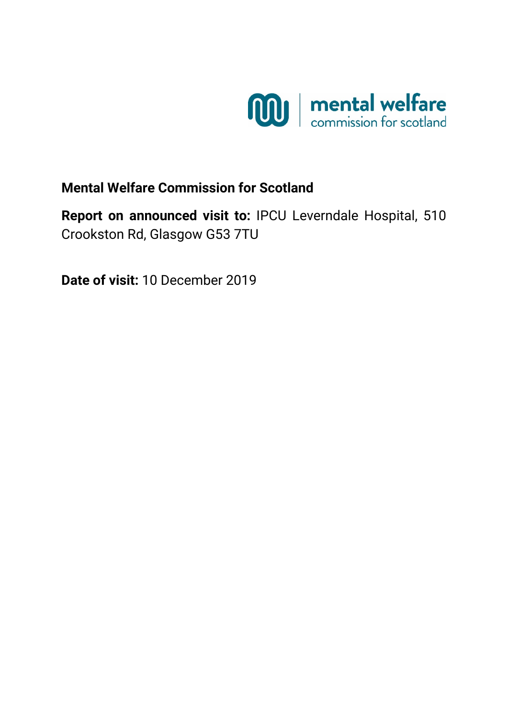

# **Mental Welfare Commission for Scotland**

**Report on announced visit to:** IPCU Leverndale Hospital, 510 Crookston Rd, Glasgow G53 7TU

**Date of visit:** 10 December 2019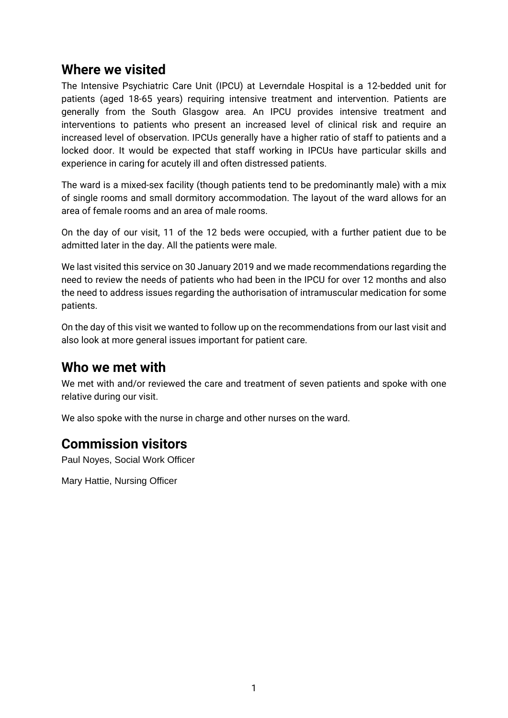### **Where we visited**

The Intensive Psychiatric Care Unit (IPCU) at Leverndale Hospital is a 12-bedded unit for patients (aged 18-65 years) requiring intensive treatment and intervention. Patients are generally from the South Glasgow area. An IPCU provides intensive treatment and interventions to patients who present an increased level of clinical risk and require an increased level of observation. IPCUs generally have a higher ratio of staff to patients and a locked door. It would be expected that staff working in IPCUs have particular skills and experience in caring for acutely ill and often distressed patients.

The ward is a mixed-sex facility (though patients tend to be predominantly male) with a mix of single rooms and small dormitory accommodation. The layout of the ward allows for an area of female rooms and an area of male rooms.

On the day of our visit, 11 of the 12 beds were occupied, with a further patient due to be admitted later in the day. All the patients were male.

We last visited this service on 30 January 2019 and we made recommendations regarding the need to review the needs of patients who had been in the IPCU for over 12 months and also the need to address issues regarding the authorisation of intramuscular medication for some patients.

On the day of this visit we wanted to follow up on the recommendations from our last visit and also look at more general issues important for patient care.

## **Who we met with**

We met with and/or reviewed the care and treatment of seven patients and spoke with one relative during our visit.

We also spoke with the nurse in charge and other nurses on the ward.

# **Commission visitors**

Paul Noyes, Social Work Officer

Mary Hattie, Nursing Officer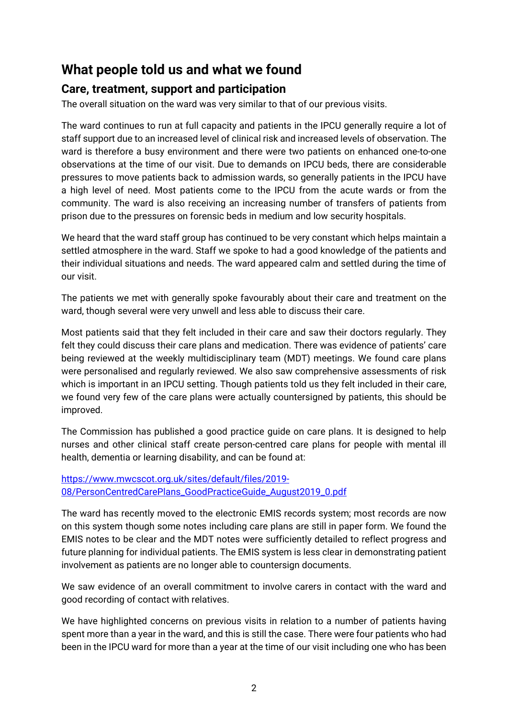## **What people told us and what we found**

### **Care, treatment, support and participation**

The overall situation on the ward was very similar to that of our previous visits.

The ward continues to run at full capacity and patients in the IPCU generally require a lot of staff support due to an increased level of clinical risk and increased levels of observation. The ward is therefore a busy environment and there were two patients on enhanced one-to-one observations at the time of our visit. Due to demands on IPCU beds, there are considerable pressures to move patients back to admission wards, so generally patients in the IPCU have a high level of need. Most patients come to the IPCU from the acute wards or from the community. The ward is also receiving an increasing number of transfers of patients from prison due to the pressures on forensic beds in medium and low security hospitals.

We heard that the ward staff group has continued to be very constant which helps maintain a settled atmosphere in the ward. Staff we spoke to had a good knowledge of the patients and their individual situations and needs. The ward appeared calm and settled during the time of our visit.

The patients we met with generally spoke favourably about their care and treatment on the ward, though several were very unwell and less able to discuss their care.

Most patients said that they felt included in their care and saw their doctors regularly. They felt they could discuss their care plans and medication. There was evidence of patients' care being reviewed at the weekly multidisciplinary team (MDT) meetings. We found care plans were personalised and regularly reviewed. We also saw comprehensive assessments of risk which is important in an IPCU setting. Though patients told us they felt included in their care, we found very few of the care plans were actually countersigned by patients, this should be improved.

The Commission has published a good practice guide on care plans. It is designed to help nurses and other clinical staff create person-centred care plans for people with mental ill health, dementia or learning disability, and can be found at:

#### [https://www.mwcscot.org.uk/sites/default/files/2019-](https://www.mwcscot.org.uk/sites/default/files/2019-08/PersonCentredCarePlans_GoodPracticeGuide_August2019_0.pdf) [08/PersonCentredCarePlans\\_GoodPracticeGuide\\_August2019\\_0.pdf](https://www.mwcscot.org.uk/sites/default/files/2019-08/PersonCentredCarePlans_GoodPracticeGuide_August2019_0.pdf)

The ward has recently moved to the electronic EMIS records system; most records are now on this system though some notes including care plans are still in paper form. We found the EMIS notes to be clear and the MDT notes were sufficiently detailed to reflect progress and future planning for individual patients. The EMIS system is less clear in demonstrating patient involvement as patients are no longer able to countersign documents.

We saw evidence of an overall commitment to involve carers in contact with the ward and good recording of contact with relatives.

We have highlighted concerns on previous visits in relation to a number of patients having spent more than a year in the ward, and this is still the case. There were four patients who had been in the IPCU ward for more than a year at the time of our visit including one who has been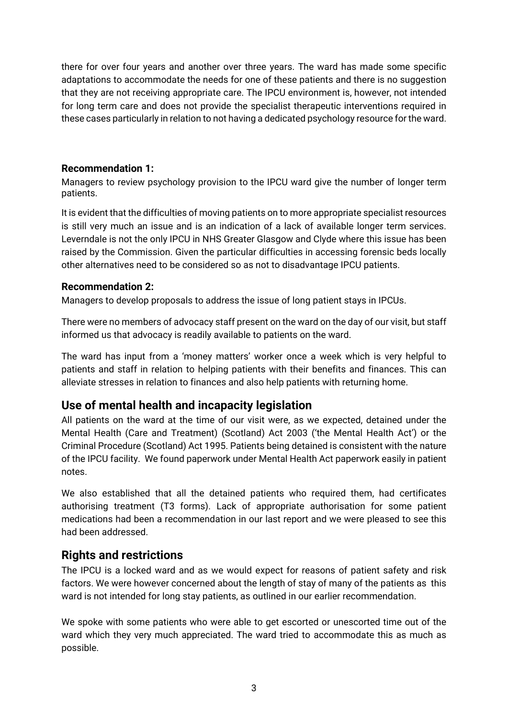there for over four years and another over three years. The ward has made some specific adaptations to accommodate the needs for one of these patients and there is no suggestion that they are not receiving appropriate care. The IPCU environment is, however, not intended for long term care and does not provide the specialist therapeutic interventions required in these cases particularly in relation to not having a dedicated psychology resource for the ward.

#### **Recommendation 1:**

Managers to review psychology provision to the IPCU ward give the number of longer term patients.

It is evident that the difficulties of moving patients on to more appropriate specialist resources is still very much an issue and is an indication of a lack of available longer term services. Leverndale is not the only IPCU in NHS Greater Glasgow and Clyde where this issue has been raised by the Commission. Given the particular difficulties in accessing forensic beds locally other alternatives need to be considered so as not to disadvantage IPCU patients.

#### **Recommendation 2:**

Managers to develop proposals to address the issue of long patient stays in IPCUs.

There were no members of advocacy staff present on the ward on the day of our visit, but staff informed us that advocacy is readily available to patients on the ward.

The ward has input from a 'money matters' worker once a week which is very helpful to patients and staff in relation to helping patients with their benefits and finances. This can alleviate stresses in relation to finances and also help patients with returning home.

### **Use of mental health and incapacity legislation**

All patients on the ward at the time of our visit were, as we expected, detained under the Mental Health (Care and Treatment) (Scotland) Act 2003 ('the Mental Health Act') or the Criminal Procedure (Scotland) Act 1995. Patients being detained is consistent with the nature of the IPCU facility. We found paperwork under Mental Health Act paperwork easily in patient notes.

We also established that all the detained patients who required them, had certificates authorising treatment (T3 forms). Lack of appropriate authorisation for some patient medications had been a recommendation in our last report and we were pleased to see this had been addressed.

### **Rights and restrictions**

The IPCU is a locked ward and as we would expect for reasons of patient safety and risk factors. We were however concerned about the length of stay of many of the patients as this ward is not intended for long stay patients, as outlined in our earlier recommendation.

We spoke with some patients who were able to get escorted or unescorted time out of the ward which they very much appreciated. The ward tried to accommodate this as much as possible.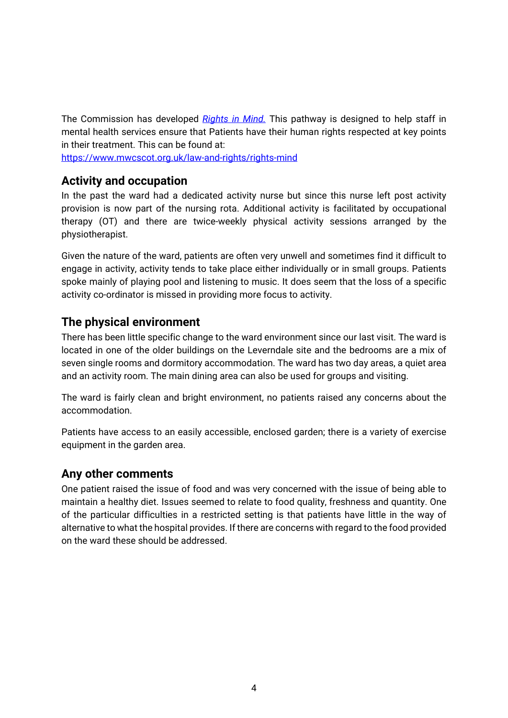The Commission has developed *[Rights in Mind.](https://www.mwcscot.org.uk/law-and-rights/rights-mind)* This pathway is designed to help staff in mental health services ensure that Patients have their human rights respected at key points in their treatment. This can be found at:

<https://www.mwcscot.org.uk/law-and-rights/rights-mind>

### **Activity and occupation**

In the past the ward had a dedicated activity nurse but since this nurse left post activity provision is now part of the nursing rota. Additional activity is facilitated by occupational therapy (OT) and there are twice-weekly physical activity sessions arranged by the physiotherapist.

Given the nature of the ward, patients are often very unwell and sometimes find it difficult to engage in activity, activity tends to take place either individually or in small groups. Patients spoke mainly of playing pool and listening to music. It does seem that the loss of a specific activity co-ordinator is missed in providing more focus to activity.

### **The physical environment**

There has been little specific change to the ward environment since our last visit. The ward is located in one of the older buildings on the Leverndale site and the bedrooms are a mix of seven single rooms and dormitory accommodation. The ward has two day areas, a quiet area and an activity room. The main dining area can also be used for groups and visiting.

The ward is fairly clean and bright environment, no patients raised any concerns about the accommodation.

Patients have access to an easily accessible, enclosed garden; there is a variety of exercise equipment in the garden area.

### **Any other comments**

One patient raised the issue of food and was very concerned with the issue of being able to maintain a healthy diet. Issues seemed to relate to food quality, freshness and quantity. One of the particular difficulties in a restricted setting is that patients have little in the way of alternative to what the hospital provides. If there are concerns with regard to the food provided on the ward these should be addressed.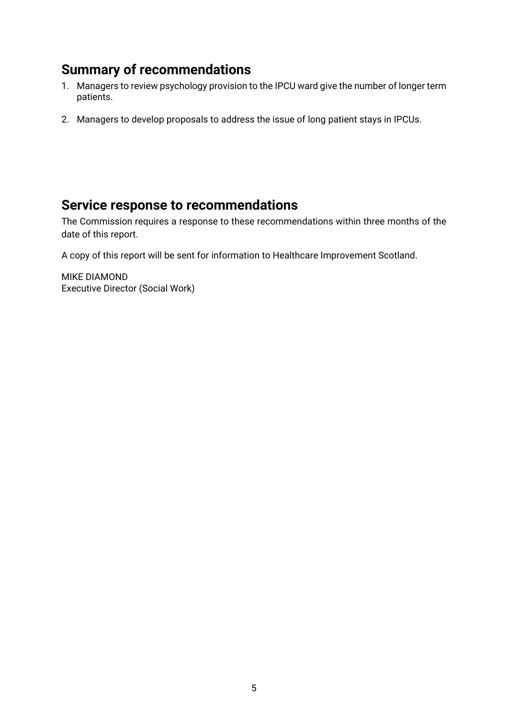# **Summary of recommendations**

- 1. Managers to review psychology provision to the IPCU ward give the number of longer term patients.
- 2. Managers to develop proposals to address the issue of long patient stays in IPCUs.

## **Service response to recommendations**

The Commission requires a response to these recommendations within three months of the date of this report.

A copy of this report will be sent for information to Healthcare Improvement Scotland.

MIKE DIAMOND Executive Director (Social Work)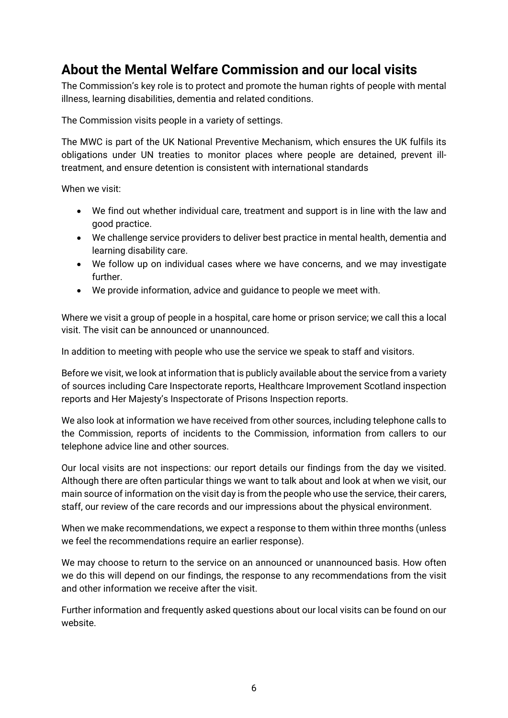# **About the Mental Welfare Commission and our local visits**

The Commission's key role is to protect and promote the human rights of people with mental illness, learning disabilities, dementia and related conditions.

The Commission visits people in a variety of settings.

The MWC is part of the UK National Preventive Mechanism, which ensures the UK fulfils its obligations under UN treaties to monitor places where people are detained, prevent illtreatment, and ensure detention is consistent with international standards

When we visit:

- We find out whether individual care, treatment and support is in line with the law and good practice.
- We challenge service providers to deliver best practice in mental health, dementia and learning disability care.
- We follow up on individual cases where we have concerns, and we may investigate further.
- We provide information, advice and guidance to people we meet with.

Where we visit a group of people in a hospital, care home or prison service; we call this a local visit. The visit can be announced or unannounced.

In addition to meeting with people who use the service we speak to staff and visitors.

Before we visit, we look at information that is publicly available about the service from a variety of sources including Care Inspectorate reports, Healthcare Improvement Scotland inspection reports and Her Majesty's Inspectorate of Prisons Inspection reports.

We also look at information we have received from other sources, including telephone calls to the Commission, reports of incidents to the Commission, information from callers to our telephone advice line and other sources.

Our local visits are not inspections: our report details our findings from the day we visited. Although there are often particular things we want to talk about and look at when we visit, our main source of information on the visit day is from the people who use the service, their carers, staff, our review of the care records and our impressions about the physical environment.

When we make recommendations, we expect a response to them within three months (unless we feel the recommendations require an earlier response).

We may choose to return to the service on an announced or unannounced basis. How often we do this will depend on our findings, the response to any recommendations from the visit and other information we receive after the visit.

Further information and frequently asked questions about our local visits can be found on our website.